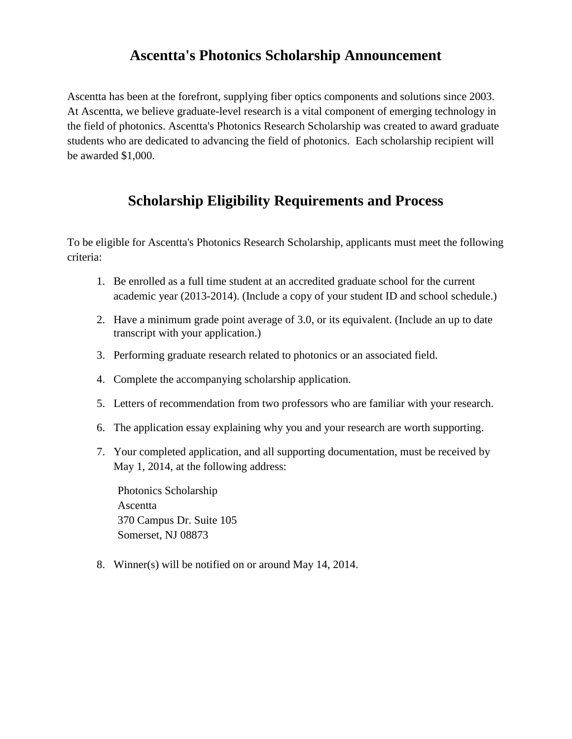# **Ascentta's Photonics Scholarship Announcement**

Ascentta has been at the forefront, supplying fiber optics components and solutions since 2003. At Ascentta, we believe graduate-level research is a vital component of emerging technology in the field of photonics. Ascentta's Photonics Research Scholarship was created to award graduate students who are dedicated to advancing the field of photonics. Each scholarship recipient will be awarded \$1,000.

### **Scholarship Eligibility Requirements and Process**

To be eligible for Ascentta's Photonics Research Scholarship, applicants must meet the following criteria:

- 1. Be enrolled as a full time student at an accredited graduate school for the current academic year (2013-2014). (Include a copy of your student ID and school schedule.)
- 2. Have a minimum grade point average of 3.0, or its equivalent. (Include an up to date transcript with your application.)
- 3. Performing graduate research related to photonics or an associated field.
- 4. Complete the accompanying scholarship application.
- 5. Letters of recommendation from two professors who are familiar with your research.
- 6. The application essay explaining why you and your research are worth supporting.
- 7. Your completed application, and all supporting documentation, must be received by May 1, 2014, at the following address:

Photonics Scholarship Ascentta 370 Campus Dr. Suite 105 Somerset, NJ 08873

8. Winner(s) will be notified on or around May 14, 2014.